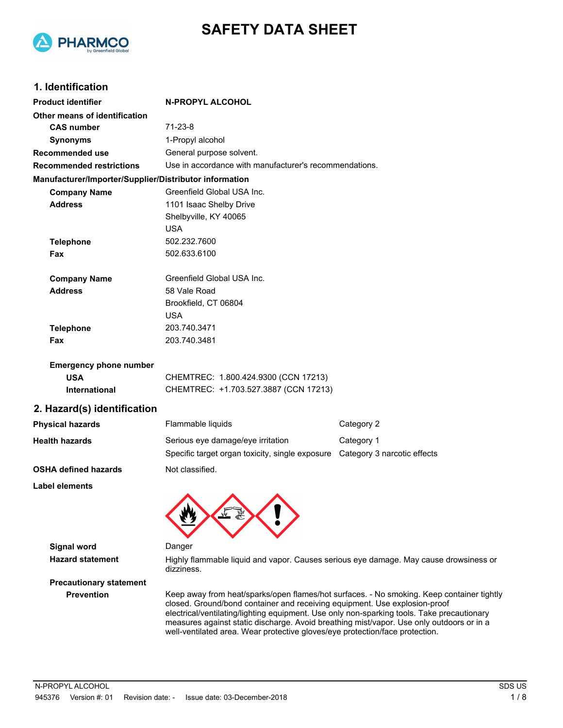



#### **1. Identification**

| <b>Product identifier</b>                              | <b>N-PROPYL ALCOHOL</b>                                |            |  |
|--------------------------------------------------------|--------------------------------------------------------|------------|--|
| Other means of identification                          |                                                        |            |  |
| <b>CAS number</b>                                      | $71-23-8$                                              |            |  |
| <b>Synonyms</b>                                        | 1-Propyl alcohol                                       |            |  |
| <b>Recommended use</b>                                 | General purpose solvent.                               |            |  |
| <b>Recommended restrictions</b>                        | Use in accordance with manufacturer's recommendations. |            |  |
| Manufacturer/Importer/Supplier/Distributor information |                                                        |            |  |
| <b>Company Name</b>                                    | Greenfield Global USA Inc.                             |            |  |
| <b>Address</b>                                         | 1101 Isaac Shelby Drive                                |            |  |
|                                                        | Shelbyville, KY 40065                                  |            |  |
|                                                        | <b>USA</b>                                             |            |  |
| <b>Telephone</b>                                       | 502.232.7600                                           |            |  |
| Fax                                                    | 502.633.6100                                           |            |  |
| <b>Company Name</b>                                    | Greenfield Global USA Inc.                             |            |  |
| <b>Address</b>                                         | 58 Vale Road                                           |            |  |
|                                                        | Brookfield, CT 06804                                   |            |  |
|                                                        | <b>USA</b>                                             |            |  |
| <b>Telephone</b>                                       | 203.740.3471                                           |            |  |
| <b>Fax</b>                                             | 203.740.3481                                           |            |  |
| <b>Emergency phone number</b>                          |                                                        |            |  |
| <b>USA</b>                                             | CHEMTREC: 1.800.424.9300 (CCN 17213)                   |            |  |
| International                                          | CHEMTREC: +1.703.527.3887 (CCN 17213)                  |            |  |
| 2. Hazard(s) identification                            |                                                        |            |  |
| <b>Physical hazards</b><br>Flammable liquids           |                                                        | Category 2 |  |

| <b>Physical hazards</b>     | Flammable liquids                               | Category 2                  |
|-----------------------------|-------------------------------------------------|-----------------------------|
| <b>Health hazards</b>       | Serious eye damage/eye irritation               | Category 1                  |
|                             | Specific target organ toxicity, single exposure | Category 3 narcotic effects |
| <b>OSHA defined hazards</b> | Not classified.                                 |                             |

**Label elements**



**Signal word** Danger

Hazard statement **Highly flammable liquid and vapor. Causes serious eye damage. May cause drowsiness or** dizziness.

# **Precautionary statement**

**Prevention** Keep away from heat/sparks/open flames/hot surfaces. - No smoking. Keep container tightly closed. Ground/bond container and receiving equipment. Use explosion-proof electrical/ventilating/lighting equipment. Use only non-sparking tools. Take precautionary measures against static discharge. Avoid breathing mist/vapor. Use only outdoors or in a well-ventilated area. Wear protective gloves/eye protection/face protection.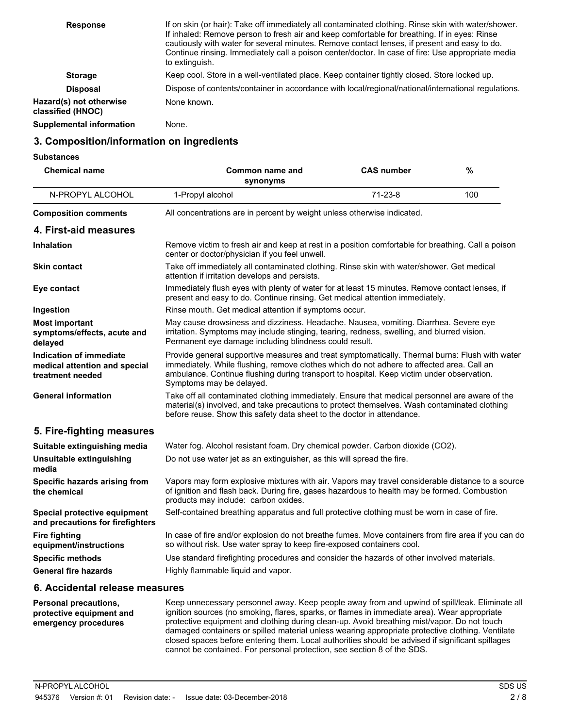| <b>Response</b>                              | If on skin (or hair): Take off immediately all contaminated clothing. Rinse skin with water/shower.<br>If inhaled: Remove person to fresh air and keep comfortable for breathing. If in eyes: Rinse<br>cautiously with water for several minutes. Remove contact lenses, if present and easy to do.<br>Continue rinsing. Immediately call a poison center/doctor. In case of fire: Use appropriate media<br>to extinguish. |
|----------------------------------------------|----------------------------------------------------------------------------------------------------------------------------------------------------------------------------------------------------------------------------------------------------------------------------------------------------------------------------------------------------------------------------------------------------------------------------|
| <b>Storage</b>                               | Keep cool. Store in a well-ventilated place. Keep container tightly closed. Store locked up.                                                                                                                                                                                                                                                                                                                               |
| <b>Disposal</b>                              | Dispose of contents/container in accordance with local/regional/national/international regulations.                                                                                                                                                                                                                                                                                                                        |
| Hazard(s) not otherwise<br>classified (HNOC) | None known.                                                                                                                                                                                                                                                                                                                                                                                                                |
| <b>Supplemental information</b>              | None.                                                                                                                                                                                                                                                                                                                                                                                                                      |

#### **3. Composition/information on ingredients**

**Substances**

| <b>Chemical name</b>                                                         | Common name and<br>synonyms                                                                                                                                                                                                                                                                                          | <b>CAS number</b>                                                       | %   |
|------------------------------------------------------------------------------|----------------------------------------------------------------------------------------------------------------------------------------------------------------------------------------------------------------------------------------------------------------------------------------------------------------------|-------------------------------------------------------------------------|-----|
| N-PROPYL ALCOHOL                                                             | 1-Propyl alcohol                                                                                                                                                                                                                                                                                                     | $71-23-8$                                                               | 100 |
| <b>Composition comments</b>                                                  |                                                                                                                                                                                                                                                                                                                      | All concentrations are in percent by weight unless otherwise indicated. |     |
| 4. First-aid measures                                                        |                                                                                                                                                                                                                                                                                                                      |                                                                         |     |
| <b>Inhalation</b>                                                            | Remove victim to fresh air and keep at rest in a position comfortable for breathing. Call a poison<br>center or doctor/physician if you feel unwell.                                                                                                                                                                 |                                                                         |     |
| <b>Skin contact</b>                                                          | Take off immediately all contaminated clothing. Rinse skin with water/shower. Get medical<br>attention if irritation develops and persists.                                                                                                                                                                          |                                                                         |     |
| Eye contact                                                                  | Immediately flush eyes with plenty of water for at least 15 minutes. Remove contact lenses, if<br>present and easy to do. Continue rinsing. Get medical attention immediately.                                                                                                                                       |                                                                         |     |
| Ingestion                                                                    | Rinse mouth. Get medical attention if symptoms occur.                                                                                                                                                                                                                                                                |                                                                         |     |
| <b>Most important</b><br>symptoms/effects, acute and<br>delayed              | May cause drowsiness and dizziness. Headache. Nausea, vomiting. Diarrhea. Severe eye<br>irritation. Symptoms may include stinging, tearing, redness, swelling, and blurred vision.<br>Permanent eye damage including blindness could result.                                                                         |                                                                         |     |
| Indication of immediate<br>medical attention and special<br>treatment needed | Provide general supportive measures and treat symptomatically. Thermal burns: Flush with water<br>immediately. While flushing, remove clothes which do not adhere to affected area. Call an<br>ambulance. Continue flushing during transport to hospital. Keep victim under observation.<br>Symptoms may be delayed. |                                                                         |     |
| <b>General information</b>                                                   | Take off all contaminated clothing immediately. Ensure that medical personnel are aware of the<br>material(s) involved, and take precautions to protect themselves. Wash contaminated clothing<br>before reuse. Show this safety data sheet to the doctor in attendance.                                             |                                                                         |     |
| 5. Fire-fighting measures                                                    |                                                                                                                                                                                                                                                                                                                      |                                                                         |     |
| Suitable extinguishing media                                                 | Water fog. Alcohol resistant foam. Dry chemical powder. Carbon dioxide (CO2).                                                                                                                                                                                                                                        |                                                                         |     |
| Unsuitable extinguishing<br>media                                            | Do not use water jet as an extinguisher, as this will spread the fire.                                                                                                                                                                                                                                               |                                                                         |     |
| Specific hazards arising from<br>the chemical                                | Vapors may form explosive mixtures with air. Vapors may travel considerable distance to a source<br>of ignition and flash back. During fire, gases hazardous to health may be formed. Combustion<br>products may include: carbon oxides.                                                                             |                                                                         |     |
| Special protective equipment<br>and precautions for firefighters             | Self-contained breathing apparatus and full protective clothing must be worn in case of fire.                                                                                                                                                                                                                        |                                                                         |     |
| <b>Fire fighting</b><br>equipment/instructions                               | In case of fire and/or explosion do not breathe fumes. Move containers from fire area if you can do<br>so without risk. Use water spray to keep fire-exposed containers cool.                                                                                                                                        |                                                                         |     |
| <b>Specific methods</b>                                                      | Use standard firefighting procedures and consider the hazards of other involved materials.                                                                                                                                                                                                                           |                                                                         |     |
| <b>General fire hazards</b>                                                  | Highly flammable liquid and vapor.                                                                                                                                                                                                                                                                                   |                                                                         |     |

#### **6. Accidental release measures**

Keep unnecessary personnel away. Keep people away from and upwind of spill/leak. Eliminate all ignition sources (no smoking, flares, sparks, or flames in immediate area). Wear appropriate protective equipment and clothing during clean-up. Avoid breathing mist/vapor. Do not touch damaged containers or spilled material unless wearing appropriate protective clothing. Ventilate closed spaces before entering them. Local authorities should be advised if significant spillages cannot be contained. For personal protection, see section 8 of the SDS. **Personal precautions, protective equipment and emergency procedures**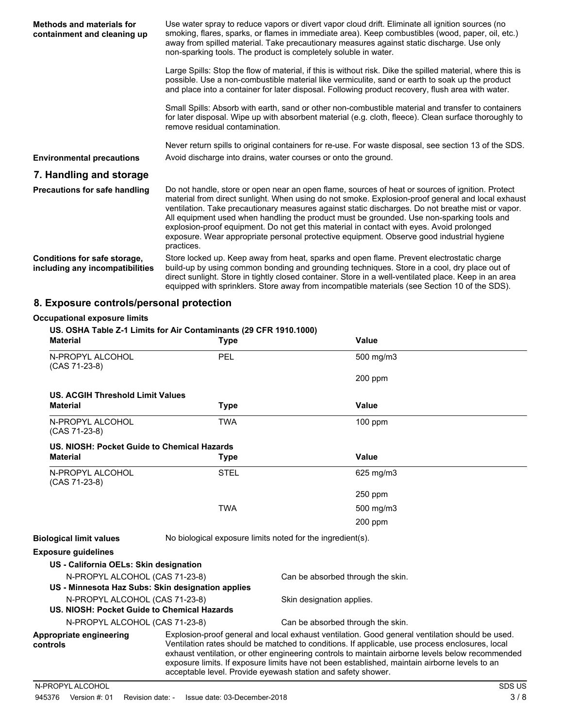| <b>Methods and materials for</b><br>containment and cleaning up | Use water spray to reduce vapors or divert vapor cloud drift. Eliminate all ignition sources (no<br>smoking, flares, sparks, or flames in immediate area). Keep combustibles (wood, paper, oil, etc.)<br>away from spilled material. Take precautionary measures against static discharge. Use only<br>non-sparking tools. The product is completely soluble in water.                                                                                                                                                                                                                                          |
|-----------------------------------------------------------------|-----------------------------------------------------------------------------------------------------------------------------------------------------------------------------------------------------------------------------------------------------------------------------------------------------------------------------------------------------------------------------------------------------------------------------------------------------------------------------------------------------------------------------------------------------------------------------------------------------------------|
|                                                                 | Large Spills: Stop the flow of material, if this is without risk. Dike the spilled material, where this is<br>possible. Use a non-combustible material like vermiculite, sand or earth to soak up the product<br>and place into a container for later disposal. Following product recovery, flush area with water.                                                                                                                                                                                                                                                                                              |
|                                                                 | Small Spills: Absorb with earth, sand or other non-combustible material and transfer to containers<br>for later disposal. Wipe up with absorbent material (e.g. cloth, fleece). Clean surface thoroughly to<br>remove residual contamination.                                                                                                                                                                                                                                                                                                                                                                   |
|                                                                 | Never return spills to original containers for re-use. For waste disposal, see section 13 of the SDS.                                                                                                                                                                                                                                                                                                                                                                                                                                                                                                           |
| <b>Environmental precautions</b>                                | Avoid discharge into drains, water courses or onto the ground.                                                                                                                                                                                                                                                                                                                                                                                                                                                                                                                                                  |
| 7. Handling and storage                                         |                                                                                                                                                                                                                                                                                                                                                                                                                                                                                                                                                                                                                 |
| <b>Precautions for safe handling</b>                            | Do not handle, store or open near an open flame, sources of heat or sources of ignition. Protect<br>material from direct sunlight. When using do not smoke. Explosion-proof general and local exhaust<br>ventilation. Take precautionary measures against static discharges. Do not breathe mist or vapor.<br>All equipment used when handling the product must be grounded. Use non-sparking tools and<br>explosion-proof equipment. Do not get this material in contact with eyes. Avoid prolonged<br>exposure. Wear appropriate personal protective equipment. Observe good industrial hygiene<br>practices. |
| Conditions for safe storage,<br>including any incompatibilities | Store locked up. Keep away from heat, sparks and open flame. Prevent electrostatic charge<br>build-up by using common bonding and grounding techniques. Store in a cool, dry place out of<br>direct sunlight. Store in tightly closed container. Store in a well-ventilated place. Keep in an area<br>equipped with sprinklers. Store away from incompatible materials (see Section 10 of the SDS).                                                                                                                                                                                                             |

## **8. Exposure controls/personal protection**

#### **Occupational exposure limits**

| <b>Material</b>                        | US. OSHA Table Z-1 Limits for Air Contaminants (29 CFR 1910.1000)<br><b>Type</b> | Value                                                                                                                                                                                                                                                                                                                                                                                                                                                                   |
|----------------------------------------|----------------------------------------------------------------------------------|-------------------------------------------------------------------------------------------------------------------------------------------------------------------------------------------------------------------------------------------------------------------------------------------------------------------------------------------------------------------------------------------------------------------------------------------------------------------------|
| N-PROPYL ALCOHOL<br>$(CAS 71-23-8)$    | PEL                                                                              | 500 mg/m3                                                                                                                                                                                                                                                                                                                                                                                                                                                               |
|                                        |                                                                                  | 200 ppm                                                                                                                                                                                                                                                                                                                                                                                                                                                                 |
| US. ACGIH Threshold Limit Values       |                                                                                  |                                                                                                                                                                                                                                                                                                                                                                                                                                                                         |
| <b>Material</b>                        | <b>Type</b>                                                                      | <b>Value</b>                                                                                                                                                                                                                                                                                                                                                                                                                                                            |
| N-PROPYL ALCOHOL<br>$(CAS 71-23-8)$    | <b>TWA</b>                                                                       | $100$ ppm                                                                                                                                                                                                                                                                                                                                                                                                                                                               |
|                                        | US. NIOSH: Pocket Guide to Chemical Hazards                                      |                                                                                                                                                                                                                                                                                                                                                                                                                                                                         |
| <b>Material</b>                        | <b>Type</b>                                                                      | Value                                                                                                                                                                                                                                                                                                                                                                                                                                                                   |
| N-PROPYL ALCOHOL<br>$(CAS 71-23-8)$    | <b>STEL</b>                                                                      | 625 mg/m3                                                                                                                                                                                                                                                                                                                                                                                                                                                               |
|                                        |                                                                                  | $250$ ppm                                                                                                                                                                                                                                                                                                                                                                                                                                                               |
|                                        | <b>TWA</b>                                                                       | 500 mg/m3                                                                                                                                                                                                                                                                                                                                                                                                                                                               |
|                                        |                                                                                  | 200 ppm                                                                                                                                                                                                                                                                                                                                                                                                                                                                 |
| <b>Biological limit values</b>         |                                                                                  | No biological exposure limits noted for the ingredient(s).                                                                                                                                                                                                                                                                                                                                                                                                              |
| <b>Exposure quidelines</b>             |                                                                                  |                                                                                                                                                                                                                                                                                                                                                                                                                                                                         |
| US - California OELs: Skin designation |                                                                                  |                                                                                                                                                                                                                                                                                                                                                                                                                                                                         |
| N-PROPYL ALCOHOL (CAS 71-23-8)         | US - Minnesota Haz Subs: Skin designation applies                                | Can be absorbed through the skin.                                                                                                                                                                                                                                                                                                                                                                                                                                       |
| N-PROPYL ALCOHOL (CAS 71-23-8)         | US. NIOSH: Pocket Guide to Chemical Hazards                                      | Skin designation applies.                                                                                                                                                                                                                                                                                                                                                                                                                                               |
| N-PROPYL ALCOHOL (CAS 71-23-8)         |                                                                                  | Can be absorbed through the skin.                                                                                                                                                                                                                                                                                                                                                                                                                                       |
| Appropriate engineering<br>controls    |                                                                                  | Explosion-proof general and local exhaust ventilation. Good general ventilation should be used.<br>Ventilation rates should be matched to conditions. If applicable, use process enclosures, local<br>exhaust ventilation, or other engineering controls to maintain airborne levels below recommended<br>exposure limits. If exposure limits have not been established, maintain airborne levels to an<br>acceptable level. Provide eyewash station and safety shower. |

N-PROPYLALCOHOL SDS US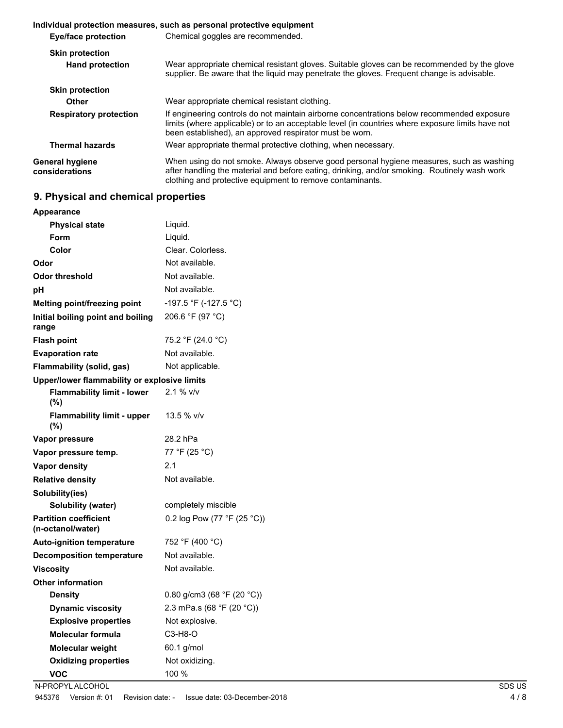|                                   | Individual protection measures, such as personal protective equipment                                                                                                                                                                                     |  |
|-----------------------------------|-----------------------------------------------------------------------------------------------------------------------------------------------------------------------------------------------------------------------------------------------------------|--|
| <b>Eye/face protection</b>        | Chemical goggles are recommended.                                                                                                                                                                                                                         |  |
| <b>Skin protection</b>            |                                                                                                                                                                                                                                                           |  |
| <b>Hand protection</b>            | Wear appropriate chemical resistant gloves. Suitable gloves can be recommended by the glove<br>supplier. Be aware that the liquid may penetrate the gloves. Frequent change is advisable.                                                                 |  |
| <b>Skin protection</b>            |                                                                                                                                                                                                                                                           |  |
| Other                             | Wear appropriate chemical resistant clothing.                                                                                                                                                                                                             |  |
| <b>Respiratory protection</b>     | If engineering controls do not maintain airborne concentrations below recommended exposure<br>limits (where applicable) or to an acceptable level (in countries where exposure limits have not<br>been established), an approved respirator must be worn. |  |
| <b>Thermal hazards</b>            | Wear appropriate thermal protective clothing, when necessary.                                                                                                                                                                                             |  |
| General hygiene<br>considerations | When using do not smoke. Always observe good personal hygiene measures, such as washing<br>after handling the material and before eating, drinking, and/or smoking. Routinely wash work<br>clothing and protective equipment to remove contaminants.      |  |

## **9. Physical and chemical properties**

| <b>Appearance</b>                                 |                             |
|---------------------------------------------------|-----------------------------|
| <b>Physical state</b>                             | Liquid.                     |
| Form                                              | Liquid.                     |
| Color                                             | Clear. Colorless.           |
| Odor                                              | Not available.              |
| <b>Odor threshold</b>                             | Not available.              |
| рH                                                | Not available.              |
| Melting point/freezing point                      | -197.5 °F (-127.5 °C)       |
| Initial boiling point and boiling<br>range        | 206.6 °F (97 °C)            |
| <b>Flash point</b>                                | 75.2 °F (24.0 °C)           |
| <b>Evaporation rate</b>                           | Not available.              |
| Flammability (solid, gas)                         | Not applicable.             |
| Upper/lower flammability or explosive limits      |                             |
| <b>Flammability limit - lower</b><br>(%)          | $2.1 \%$ v/v                |
| <b>Flammability limit - upper</b><br>(%)          | 13.5 % v/v                  |
| Vapor pressure                                    | 28.2 hPa                    |
| Vapor pressure temp.                              | 77 °F (25 °C)               |
| Vapor density                                     | 2.1                         |
| <b>Relative density</b>                           | Not available.              |
| Solubility(ies)                                   |                             |
| Solubility (water)                                | completely miscible         |
| <b>Partition coefficient</b><br>(n-octanol/water) | 0.2 log Pow (77 °F (25 °C)) |
| Auto-ignition temperature                         | 752 °F (400 °C)             |
| <b>Decomposition temperature</b>                  | Not available.              |
| <b>Viscosity</b>                                  | Not available.              |
| <b>Other information</b>                          |                             |
| <b>Density</b>                                    | 0.80 g/cm3 (68 °F (20 °C))  |
| <b>Dynamic viscosity</b>                          | 2.3 mPa.s (68 °F (20 °C))   |
| <b>Explosive properties</b>                       | Not explosive.              |
| <b>Molecular formula</b>                          | $C3-H8-O$                   |
| Molecular weight                                  | 60.1 g/mol                  |
| <b>Oxidizing properties</b>                       | Not oxidizing.              |
| <b>VOC</b>                                        | 100 %                       |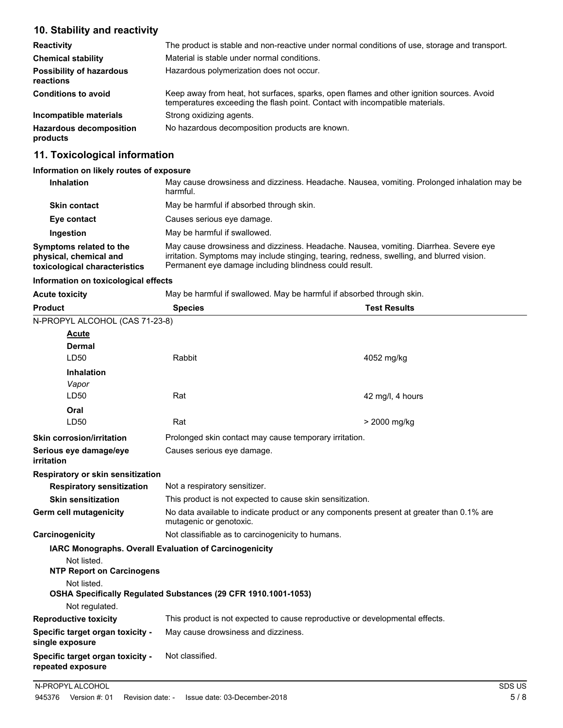#### **10. Stability and reactivity**

| <b>Reactivity</b>                            | The product is stable and non-reactive under normal conditions of use, storage and transport.                                                                            |  |
|----------------------------------------------|--------------------------------------------------------------------------------------------------------------------------------------------------------------------------|--|
| <b>Chemical stability</b>                    | Material is stable under normal conditions.                                                                                                                              |  |
| <b>Possibility of hazardous</b><br>reactions | Hazardous polymerization does not occur.                                                                                                                                 |  |
| <b>Conditions to avoid</b>                   | Keep away from heat, hot surfaces, sparks, open flames and other ignition sources. Avoid<br>temperatures exceeding the flash point. Contact with incompatible materials. |  |
| Incompatible materials                       | Strong oxidizing agents.                                                                                                                                                 |  |
| <b>Hazardous decomposition</b><br>products   | No hazardous decomposition products are known.                                                                                                                           |  |

## **11. Toxicological information**

#### **Information on likely routes of exposure**

| <b>Inhalation</b>                                                                  | May cause drowsiness and dizziness. Headache. Nausea, vomiting. Prolonged inhalation may be<br>harmful.                                                                                                                                      |
|------------------------------------------------------------------------------------|----------------------------------------------------------------------------------------------------------------------------------------------------------------------------------------------------------------------------------------------|
| <b>Skin contact</b>                                                                | May be harmful if absorbed through skin.                                                                                                                                                                                                     |
| Eye contact                                                                        | Causes serious eye damage.                                                                                                                                                                                                                   |
| Ingestion                                                                          | May be harmful if swallowed.                                                                                                                                                                                                                 |
| Symptoms related to the<br>physical, chemical and<br>toxicological characteristics | May cause drowsiness and dizziness. Headache. Nausea, vomiting. Diarrhea. Severe eye<br>irritation. Symptoms may include stinging, tearing, redness, swelling, and blurred vision.<br>Permanent eye damage including blindness could result. |

#### **Information on toxicological effects**

Acute toxicity **May be harmful if swallowed. May be harmful if absorbed through skin.** 

| <b>Product</b>                                        | <b>Species</b>                                                                                                      | <b>Test Results</b>                                                          |  |
|-------------------------------------------------------|---------------------------------------------------------------------------------------------------------------------|------------------------------------------------------------------------------|--|
| N-PROPYL ALCOHOL (CAS 71-23-8)                        |                                                                                                                     |                                                                              |  |
| <b>Acute</b>                                          |                                                                                                                     |                                                                              |  |
| <b>Dermal</b>                                         |                                                                                                                     |                                                                              |  |
| LD50                                                  | Rabbit                                                                                                              | 4052 mg/kg                                                                   |  |
| <b>Inhalation</b>                                     |                                                                                                                     |                                                                              |  |
| Vapor                                                 |                                                                                                                     |                                                                              |  |
| LD50                                                  | Rat                                                                                                                 | 42 mg/l, 4 hours                                                             |  |
| Oral                                                  |                                                                                                                     |                                                                              |  |
| LD50                                                  | Rat                                                                                                                 | > 2000 mg/kg                                                                 |  |
| <b>Skin corrosion/irritation</b>                      |                                                                                                                     | Prolonged skin contact may cause temporary irritation.                       |  |
| Serious eye damage/eye<br>irritation                  |                                                                                                                     | Causes serious eye damage.                                                   |  |
| Respiratory or skin sensitization                     |                                                                                                                     |                                                                              |  |
| <b>Respiratory sensitization</b>                      | Not a respiratory sensitizer.                                                                                       |                                                                              |  |
| <b>Skin sensitization</b>                             | This product is not expected to cause skin sensitization.                                                           |                                                                              |  |
| Germ cell mutagenicity                                | No data available to indicate product or any components present at greater than 0.1% are<br>mutagenic or genotoxic. |                                                                              |  |
| Carcinogenicity                                       | Not classifiable as to carcinogenicity to humans.                                                                   |                                                                              |  |
|                                                       | <b>IARC Monographs. Overall Evaluation of Carcinogenicity</b>                                                       |                                                                              |  |
| Not listed.                                           |                                                                                                                     |                                                                              |  |
| <b>NTP Report on Carcinogens</b>                      |                                                                                                                     |                                                                              |  |
| Not listed.                                           |                                                                                                                     |                                                                              |  |
| Not regulated.                                        | OSHA Specifically Regulated Substances (29 CFR 1910.1001-1053)                                                      |                                                                              |  |
| <b>Reproductive toxicity</b>                          |                                                                                                                     | This product is not expected to cause reproductive or developmental effects. |  |
| Specific target organ toxicity -                      | May cause drowsiness and dizziness.                                                                                 |                                                                              |  |
| single exposure                                       |                                                                                                                     |                                                                              |  |
| Specific target organ toxicity -<br>repeated exposure | Not classified.                                                                                                     |                                                                              |  |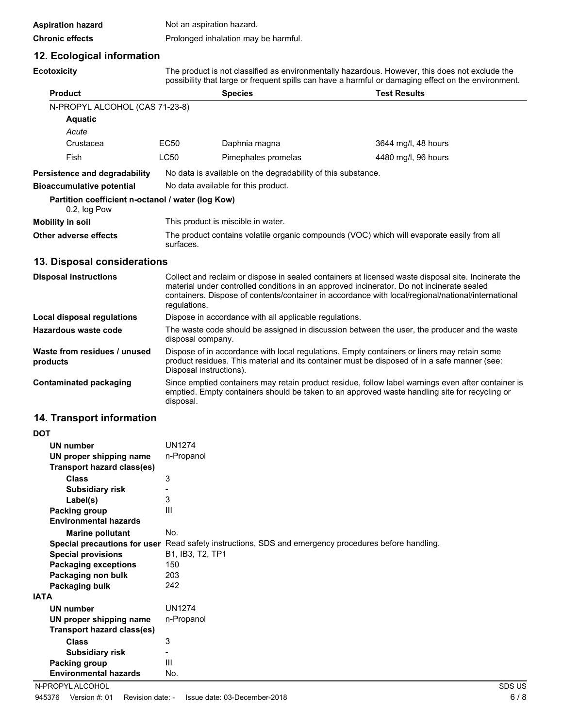| <b>Aspiration hazard</b> | Not an aspiration hazard.            |
|--------------------------|--------------------------------------|
| <b>Chronic effects</b>   | Prolonged inhalation may be harmful. |

### **12. Ecological information**

| <b>Ecotoxicity</b> |  |
|--------------------|--|
|                    |  |

The product is not classified as environmentally hazardous. However, this does not exclude the possibility that large or frequent spills can have a harmful or damaging effect on the environment.

| <b>Product</b>                                                    |                                     | <b>Species</b>                                               | <b>Test Results</b>                                                                        |  |
|-------------------------------------------------------------------|-------------------------------------|--------------------------------------------------------------|--------------------------------------------------------------------------------------------|--|
| N-PROPYL ALCOHOL (CAS 71-23-8)                                    |                                     |                                                              |                                                                                            |  |
| <b>Aquatic</b>                                                    |                                     |                                                              |                                                                                            |  |
| Acute                                                             |                                     |                                                              |                                                                                            |  |
| Crustacea                                                         | EC50                                | Daphnia magna                                                | 3644 mg/l, 48 hours                                                                        |  |
| Fish                                                              | <b>LC50</b>                         | Pimephales promelas                                          | 4480 mg/l, 96 hours                                                                        |  |
| <b>Persistence and degradability</b>                              |                                     | No data is available on the degradability of this substance. |                                                                                            |  |
| <b>Bioaccumulative potential</b>                                  | No data available for this product. |                                                              |                                                                                            |  |
| Partition coefficient n-octanol / water (log Kow)<br>0.2, log Pow |                                     |                                                              |                                                                                            |  |
| Mobility in soil                                                  |                                     | This product is miscible in water.                           |                                                                                            |  |
| Other adverse effects                                             | surfaces.                           |                                                              | The product contains volatile organic compounds (VOC) which will evaporate easily from all |  |

## **13. Disposal considerations**

| <b>Disposal instructions</b>             | Collect and reclaim or dispose in sealed containers at licensed waste disposal site. Incinerate the<br>material under controlled conditions in an approved incinerator. Do not incinerate sealed<br>containers. Dispose of contents/container in accordance with local/regional/national/international<br>regulations. |
|------------------------------------------|------------------------------------------------------------------------------------------------------------------------------------------------------------------------------------------------------------------------------------------------------------------------------------------------------------------------|
| Local disposal regulations               | Dispose in accordance with all applicable regulations.                                                                                                                                                                                                                                                                 |
| Hazardous waste code                     | The waste code should be assigned in discussion between the user, the producer and the waste<br>disposal company.                                                                                                                                                                                                      |
| Waste from residues / unused<br>products | Dispose of in accordance with local regulations. Empty containers or liners may retain some<br>product residues. This material and its container must be disposed of in a safe manner (see:<br>Disposal instructions).                                                                                                 |
| <b>Contaminated packaging</b>            | Since emptied containers may retain product residue, follow label warnings even after container is<br>emptied. Empty containers should be taken to an approved waste handling site for recycling or<br>disposal.                                                                                                       |

## **14. Transport information**

| DOT                               |                                                                                                      |
|-----------------------------------|------------------------------------------------------------------------------------------------------|
| UN number                         | <b>UN1274</b>                                                                                        |
| UN proper shipping name           | n-Propanol                                                                                           |
| <b>Transport hazard class(es)</b> |                                                                                                      |
| <b>Class</b>                      | 3                                                                                                    |
| <b>Subsidiary risk</b>            |                                                                                                      |
| Label(s)                          | 3                                                                                                    |
| Packing group                     | Ш                                                                                                    |
| <b>Environmental hazards</b>      |                                                                                                      |
| <b>Marine pollutant</b>           | No.                                                                                                  |
|                                   | Special precautions for user Read safety instructions, SDS and emergency procedures before handling. |
| <b>Special provisions</b>         | B1, IB3, T2, TP1                                                                                     |
| <b>Packaging exceptions</b>       | 150                                                                                                  |
| Packaging non bulk                | 203                                                                                                  |
| Packaging bulk                    | 242                                                                                                  |
| IATA                              |                                                                                                      |
| <b>UN number</b>                  | <b>UN1274</b>                                                                                        |
| UN proper shipping name           | n-Propanol                                                                                           |
| Transport hazard class(es)        |                                                                                                      |
| <b>Class</b>                      | 3                                                                                                    |
| <b>Subsidiary risk</b>            | -                                                                                                    |
| Packing group                     | Ш                                                                                                    |
| <b>Environmental hazards</b>      | No.                                                                                                  |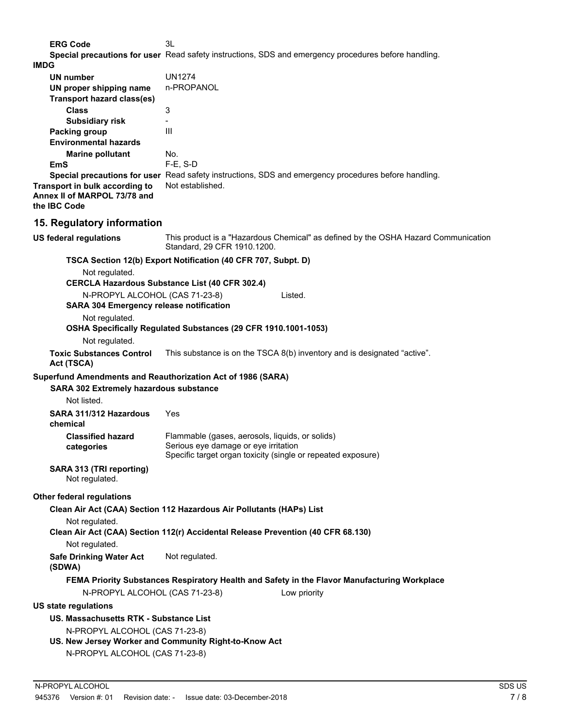**ERG Code** 3L **Special precautions for user** Read safety instructions, SDS and emergency procedures before handling.

|                                                                                  | Special precautions for user Read safety instructions, SDS and emergency procedures before handling.                                                    |
|----------------------------------------------------------------------------------|---------------------------------------------------------------------------------------------------------------------------------------------------------|
| <b>IMDG</b>                                                                      |                                                                                                                                                         |
| <b>UN number</b><br>UN proper shipping name                                      | <b>UN1274</b><br>n-PROPANOL                                                                                                                             |
| <b>Transport hazard class(es)</b>                                                |                                                                                                                                                         |
| <b>Class</b>                                                                     | 3                                                                                                                                                       |
| <b>Subsidiary risk</b>                                                           | $\overline{\phantom{0}}$                                                                                                                                |
| Packing group                                                                    | III                                                                                                                                                     |
| <b>Environmental hazards</b>                                                     |                                                                                                                                                         |
| <b>Marine pollutant</b>                                                          | No.                                                                                                                                                     |
| <b>EmS</b>                                                                       | $F-E$ , S-D                                                                                                                                             |
| Transport in bulk according to<br>Annex II of MARPOL 73/78 and<br>the IBC Code   | Special precautions for user Read safety instructions, SDS and emergency procedures before handling.<br>Not established.                                |
| 15. Regulatory information                                                       |                                                                                                                                                         |
| <b>US federal regulations</b>                                                    | This product is a "Hazardous Chemical" as defined by the OSHA Hazard Communication<br>Standard, 29 CFR 1910.1200.                                       |
|                                                                                  | TSCA Section 12(b) Export Notification (40 CFR 707, Subpt. D)                                                                                           |
| Not regulated.                                                                   |                                                                                                                                                         |
|                                                                                  | <b>CERCLA Hazardous Substance List (40 CFR 302.4)</b>                                                                                                   |
| N-PROPYL ALCOHOL (CAS 71-23-8)<br><b>SARA 304 Emergency release notification</b> | Listed.                                                                                                                                                 |
| Not regulated.                                                                   |                                                                                                                                                         |
|                                                                                  | OSHA Specifically Regulated Substances (29 CFR 1910.1001-1053)                                                                                          |
| Not regulated.                                                                   |                                                                                                                                                         |
| <b>Toxic Substances Control</b><br>Act (TSCA)                                    | This substance is on the TSCA 8(b) inventory and is designated "active".                                                                                |
| Superfund Amendments and Reauthorization Act of 1986 (SARA)                      |                                                                                                                                                         |
| SARA 302 Extremely hazardous substance                                           |                                                                                                                                                         |
| Not listed.                                                                      |                                                                                                                                                         |
| SARA 311/312 Hazardous<br>chemical                                               | Yes                                                                                                                                                     |
| <b>Classified hazard</b><br>categories                                           | Flammable (gases, aerosols, liquids, or solids)<br>Serious eye damage or eye irritation<br>Specific target organ toxicity (single or repeated exposure) |
|                                                                                  |                                                                                                                                                         |
| SARA 313 (TRI reporting)<br>Not regulated.                                       |                                                                                                                                                         |
| Other federal regulations                                                        |                                                                                                                                                         |
|                                                                                  | Clean Air Act (CAA) Section 112 Hazardous Air Pollutants (HAPs) List                                                                                    |
| Not regulated.                                                                   | Clean Air Act (CAA) Section 112(r) Accidental Release Prevention (40 CFR 68.130)                                                                        |
| Not regulated.                                                                   |                                                                                                                                                         |
| <b>Safe Drinking Water Act</b><br>(SDWA)                                         | Not regulated.                                                                                                                                          |
| N-PROPYL ALCOHOL (CAS 71-23-8)                                                   | FEMA Priority Substances Respiratory Health and Safety in the Flavor Manufacturing Workplace<br>Low priority                                            |
| <b>US state regulations</b>                                                      |                                                                                                                                                         |
| US. Massachusetts RTK - Substance List                                           |                                                                                                                                                         |
|                                                                                  |                                                                                                                                                         |
| N-PROPYL ALCOHOL (CAS 71-23-8)                                                   | US. New Jersey Worker and Community Right-to-Know Act                                                                                                   |
| N-PROPYL ALCOHOL (CAS 71-23-8)                                                   |                                                                                                                                                         |
|                                                                                  |                                                                                                                                                         |